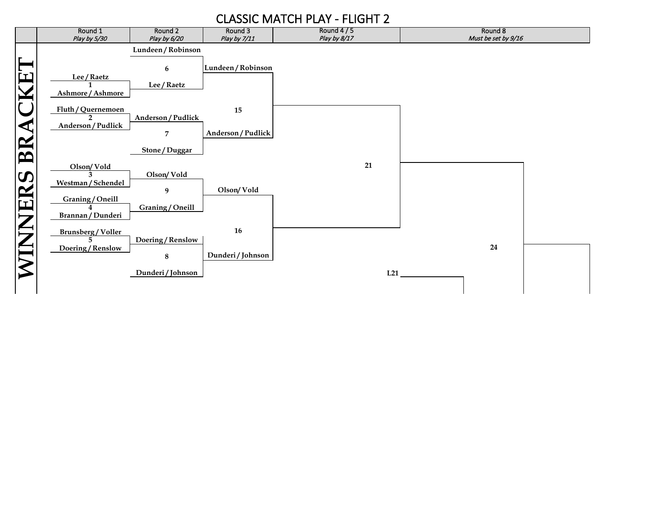